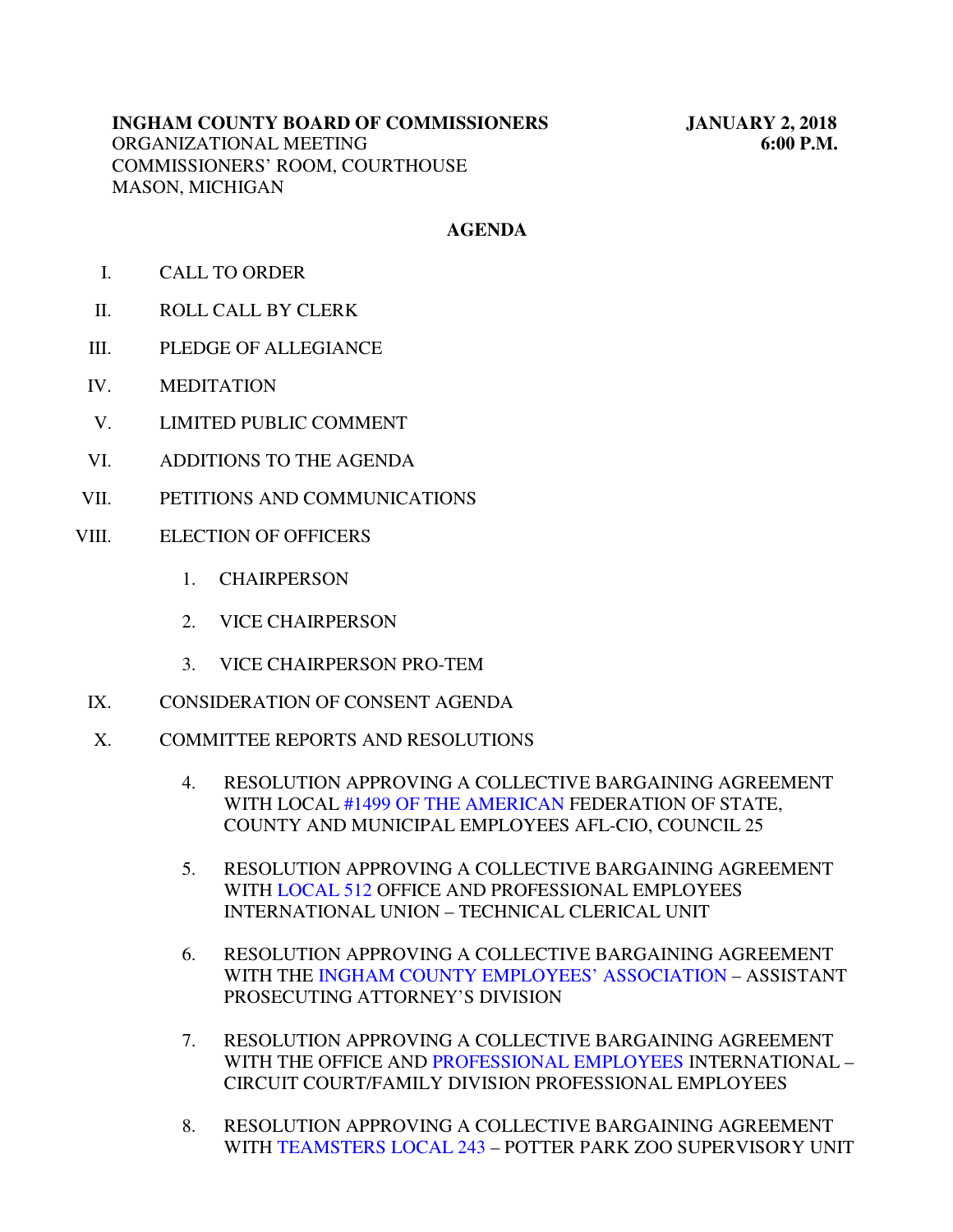## **AGENDA**

- I. CALL TO ORDER
- II. ROLL CALL BY CLERK
- III. PLEDGE OF ALLEGIANCE
- IV. MEDITATION
- V. LIMITED PUBLIC COMMENT
- VI. ADDITIONS TO THE AGENDA
- VII. PETITIONS AND COMMUNICATIONS
- VIII. ELECTION OF OFFICERS
	- 1. CHAIRPERSON
	- 2. VICE CHAIRPERSON
	- 3. VICE CHAIRPERSON PRO-TEM
	- IX. CONSIDERATION OF CONSENT AGENDA
	- X. COMMITTEE REPORTS AND RESOLUTIONS
		- 4. RESOLUTION APPROVING A COLLECTIVE BARGAINING AGREEMENT WITH LOCA[L #1499 OF THE AMERICAN](#page-3-0) FEDERATION OF STATE, COUNTY AND MUNICIPAL EMPLOYEES AFL-CIO, COUNCIL 25
		- 5. RESOLUTION APPROVING A COLLECTIVE BARGAINING AGREEMENT WI[TH LOCAL 512 O](#page-6-0)FFICE AND PROFESSIONAL EMPLOYEES INTERNATIONAL UNION – TECHNICAL CLERICAL UNIT
		- 6. RESOLUTION APPROVING A COLLECTIVE BARGAINING AGREEMENT WITH THE [INGHAM COUNTY EMPLOYEES' ASSOCIATION –](#page-8-0) ASSISTANT PROSECUTING ATTORNEY'S DIVISION
		- 7. RESOLUTION APPROVING A COLLECTIVE BARGAINING AGREEMENT WITH THE OFFICE AN[D PROFESSIONAL EMPLOYEES I](#page-10-0)NTERNATIONAL – CIRCUIT COURT/FAMILY DIVISION PROFESSIONAL EMPLOYEES
		- 8. RESOLUTION APPROVING A COLLECTIVE BARGAINING AGREEMENT WIT[H TEAMSTERS LOCAL 243 – P](#page-12-0)OTTER PARK ZOO SUPERVISORY UNIT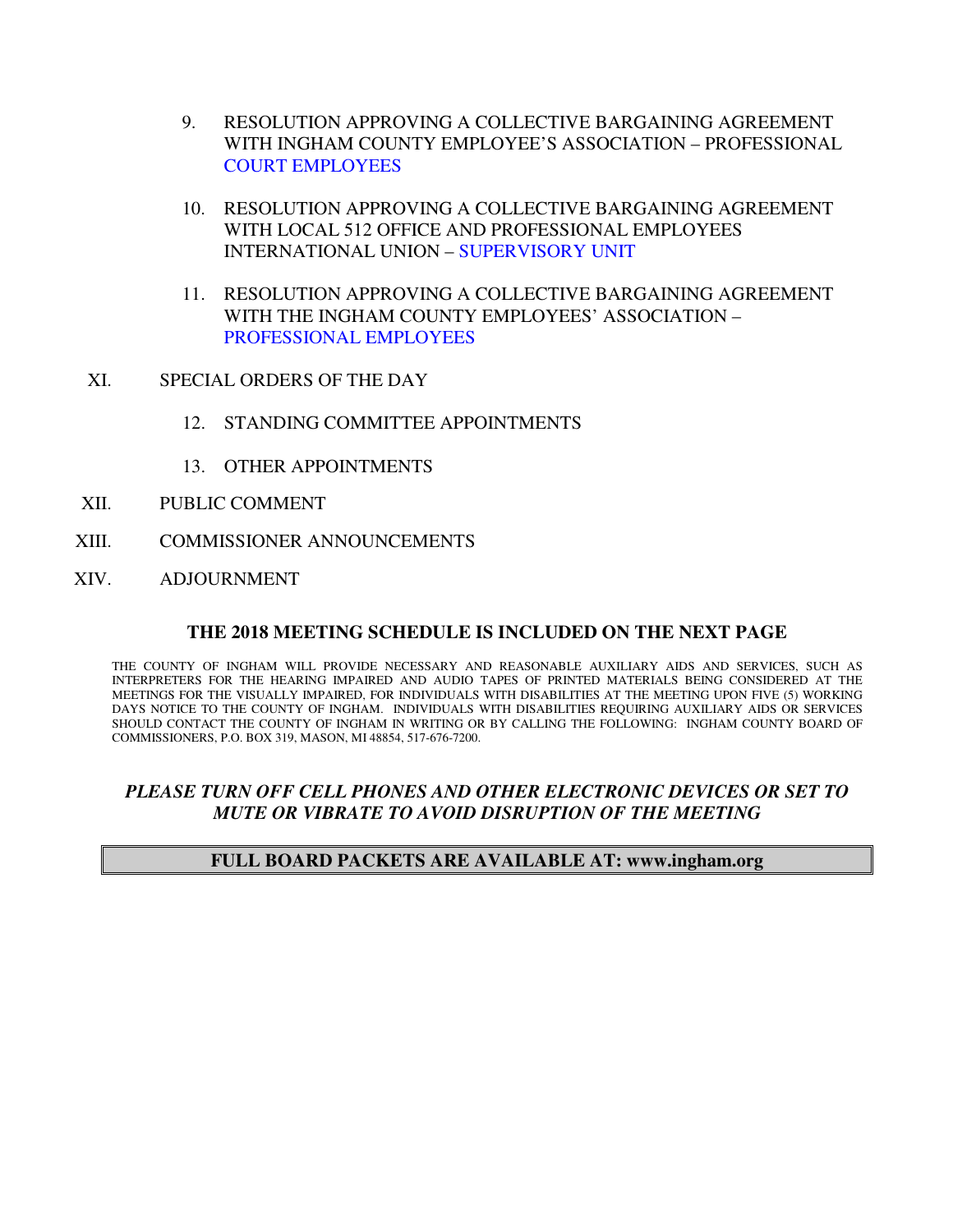- 9. RESOLUTION APPROVING A COLLECTIVE BARGAINING AGREEMENT WITH INGHAM COUNTY EMPLOYEE'S ASSOCIATION – PROFESSIONAL [COURT EMPLOYEES](#page-14-0)
- 10. RESOLUTION APPROVING A COLLECTIVE BARGAINING AGREEMENT WITH LOCAL 512 OFFICE AND PROFESSIONAL EMPLOYEES INTERNATIONAL UNION [– SUPERVISORY UNIT](#page-16-0)
- 11. RESOLUTION APPROVING A COLLECTIVE BARGAINING AGREEMENT WITH THE INGHAM COUNTY EMPLOYEES' ASSOCIATION – [PROFESSIONAL EMPLOYEES](#page-18-0)
- XI. SPECIAL ORDERS OF THE DAY
	- 12. STANDING COMMITTEE APPOINTMENTS
	- 13. OTHER APPOINTMENTS
- XII. PUBLIC COMMENT
- XIII. COMMISSIONER ANNOUNCEMENTS
- XIV. ADJOURNMENT

#### **THE 2018 MEETING SCHEDULE IS INCLUDED ON THE NEXT PAGE**

THE COUNTY OF INGHAM WILL PROVIDE NECESSARY AND REASONABLE AUXILIARY AIDS AND SERVICES, SUCH AS INTERPRETERS FOR THE HEARING IMPAIRED AND AUDIO TAPES OF PRINTED MATERIALS BEING CONSIDERED AT THE MEETINGS FOR THE VISUALLY IMPAIRED, FOR INDIVIDUALS WITH DISABILITIES AT THE MEETING UPON FIVE (5) WORKING DAYS NOTICE TO THE COUNTY OF INGHAM. INDIVIDUALS WITH DISABILITIES REQUIRING AUXILIARY AIDS OR SERVICES SHOULD CONTACT THE COUNTY OF INGHAM IN WRITING OR BY CALLING THE FOLLOWING: INGHAM COUNTY BOARD OF COMMISSIONERS, P.O. BOX 319, MASON, MI 48854, 517-676-7200.

## *PLEASE TURN OFF CELL PHONES AND OTHER ELECTRONIC DEVICES OR SET TO MUTE OR VIBRATE TO AVOID DISRUPTION OF THE MEETING*

#### **FULL BOARD PACKETS ARE AVAILABLE AT: www.ingham.org**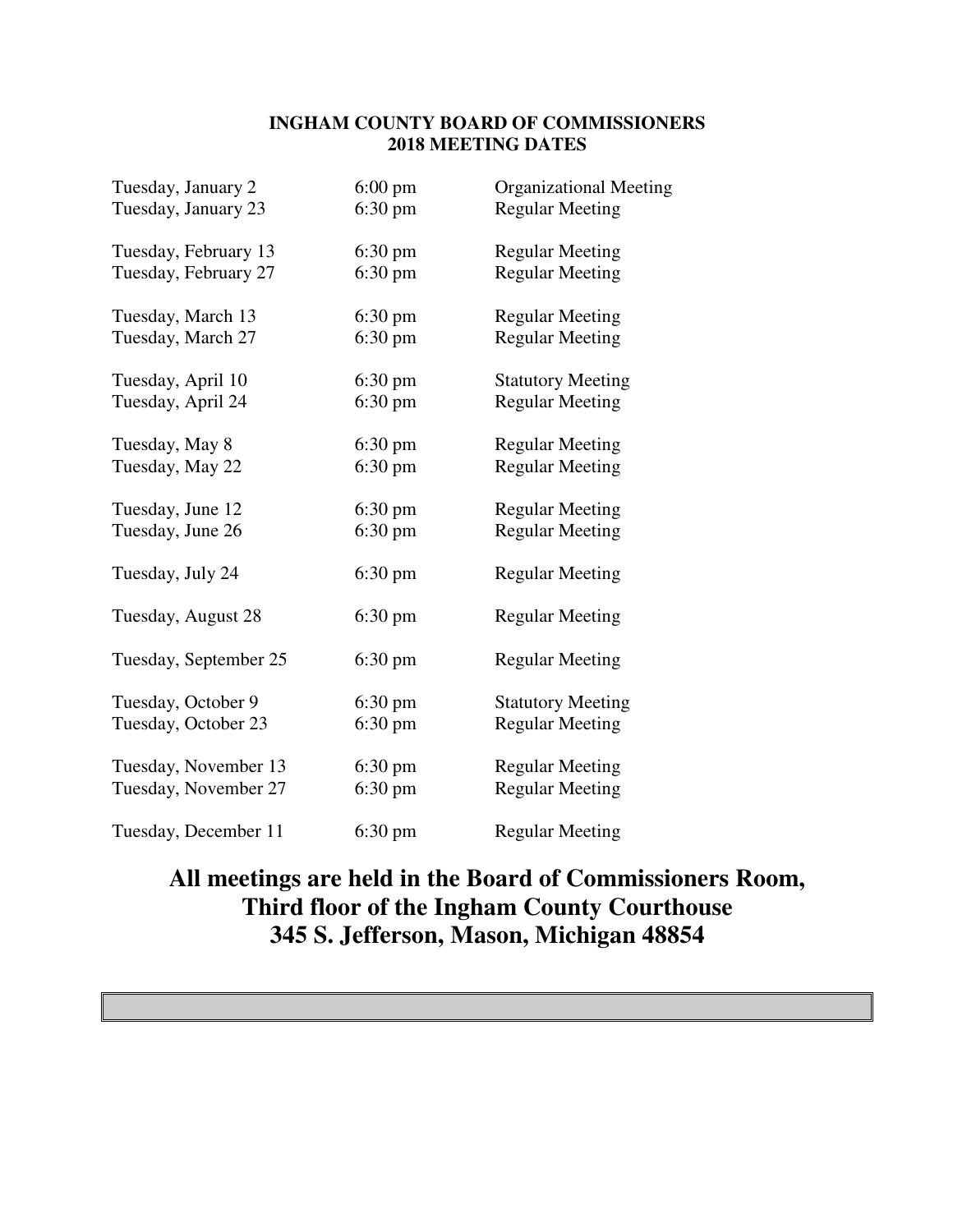#### **INGHAM COUNTY BOARD OF COMMISSIONERS 2018 MEETING DATES**

| Tuesday, January 2    | $6:00 \text{ pm}$ | <b>Organizational Meeting</b> |
|-----------------------|-------------------|-------------------------------|
| Tuesday, January 23   | $6:30 \text{ pm}$ | <b>Regular Meeting</b>        |
| Tuesday, February 13  | $6:30 \text{ pm}$ | <b>Regular Meeting</b>        |
| Tuesday, February 27  | $6:30 \text{ pm}$ | <b>Regular Meeting</b>        |
| Tuesday, March 13     | $6:30 \text{ pm}$ | <b>Regular Meeting</b>        |
| Tuesday, March 27     | $6:30 \text{ pm}$ | <b>Regular Meeting</b>        |
| Tuesday, April 10     | $6:30 \text{ pm}$ | <b>Statutory Meeting</b>      |
| Tuesday, April 24     | $6:30 \text{ pm}$ | <b>Regular Meeting</b>        |
| Tuesday, May 8        | $6:30 \text{ pm}$ | <b>Regular Meeting</b>        |
| Tuesday, May 22       | $6:30 \text{ pm}$ | <b>Regular Meeting</b>        |
| Tuesday, June 12      | $6:30 \text{ pm}$ | <b>Regular Meeting</b>        |
| Tuesday, June 26      | $6:30 \text{ pm}$ | <b>Regular Meeting</b>        |
| Tuesday, July 24      | $6:30 \text{ pm}$ | <b>Regular Meeting</b>        |
| Tuesday, August 28    | $6:30 \text{ pm}$ | <b>Regular Meeting</b>        |
| Tuesday, September 25 | $6:30 \text{ pm}$ | <b>Regular Meeting</b>        |
| Tuesday, October 9    | $6:30 \text{ pm}$ | <b>Statutory Meeting</b>      |
| Tuesday, October 23   | $6:30 \text{ pm}$ | <b>Regular Meeting</b>        |
| Tuesday, November 13  | $6:30 \text{ pm}$ | <b>Regular Meeting</b>        |
| Tuesday, November 27  | $6:30 \text{ pm}$ | <b>Regular Meeting</b>        |
| Tuesday, December 11  | $6:30 \text{ pm}$ | <b>Regular Meeting</b>        |

# **All meetings are held in the Board of Commissioners Room, Third floor of the Ingham County Courthouse 345 S. Jefferson, Mason, Michigan 48854**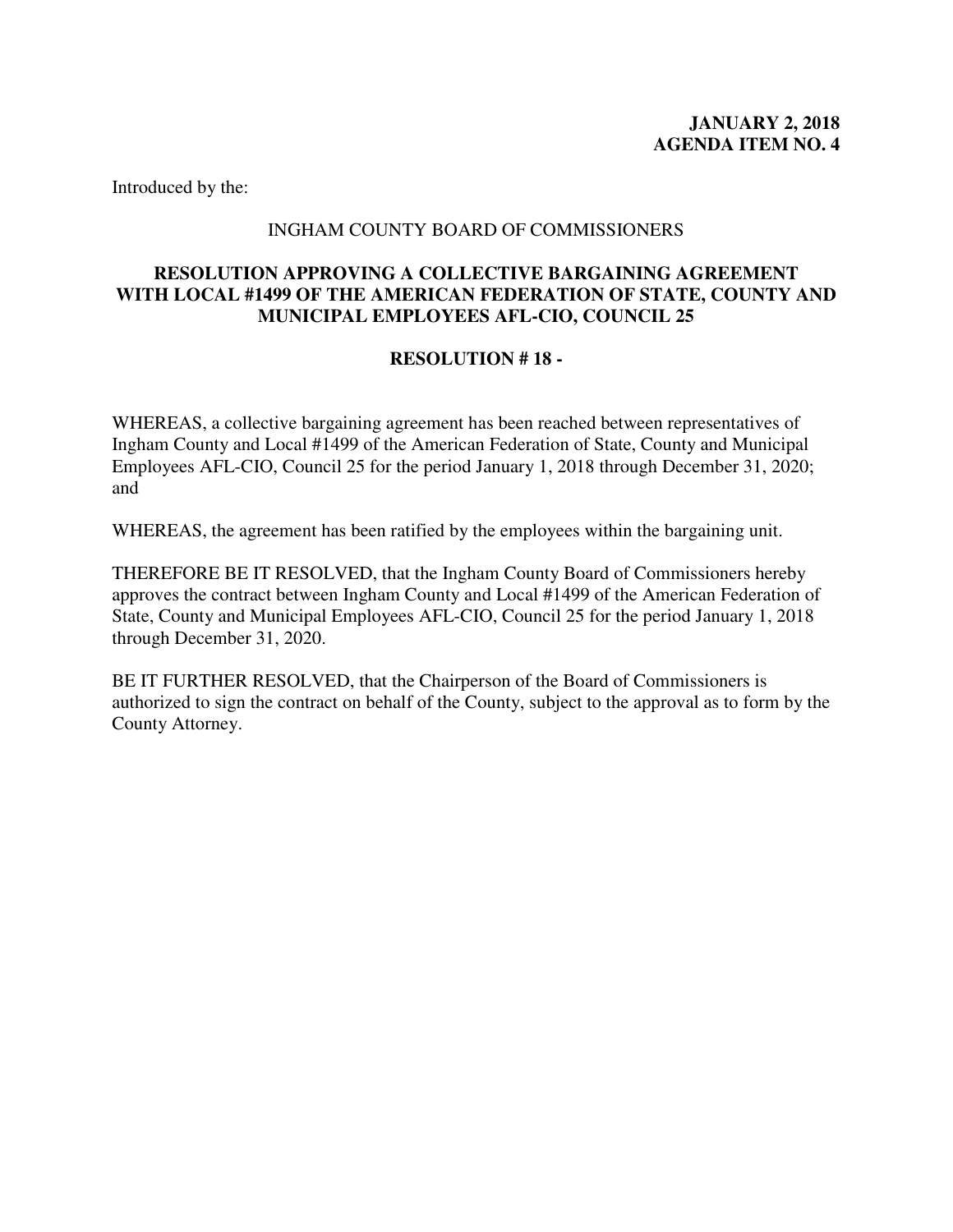#### INGHAM COUNTY BOARD OF COMMISSIONERS

## <span id="page-3-0"></span>**RESOLUTION APPROVING A COLLECTIVE BARGAINING AGREEMENT WITH LOCAL #1499 OF THE AMERICAN FEDERATION OF STATE, COUNTY AND MUNICIPAL EMPLOYEES AFL-CIO, COUNCIL 25**

## **RESOLUTION # 18 -**

WHEREAS, a collective bargaining agreement has been reached between representatives of Ingham County and Local #1499 of the American Federation of State, County and Municipal Employees AFL-CIO, Council 25 for the period January 1, 2018 through December 31, 2020; and

WHEREAS, the agreement has been ratified by the employees within the bargaining unit.

THEREFORE BE IT RESOLVED, that the Ingham County Board of Commissioners hereby approves the contract between Ingham County and Local #1499 of the American Federation of State, County and Municipal Employees AFL-CIO, Council 25 for the period January 1, 2018 through December 31, 2020.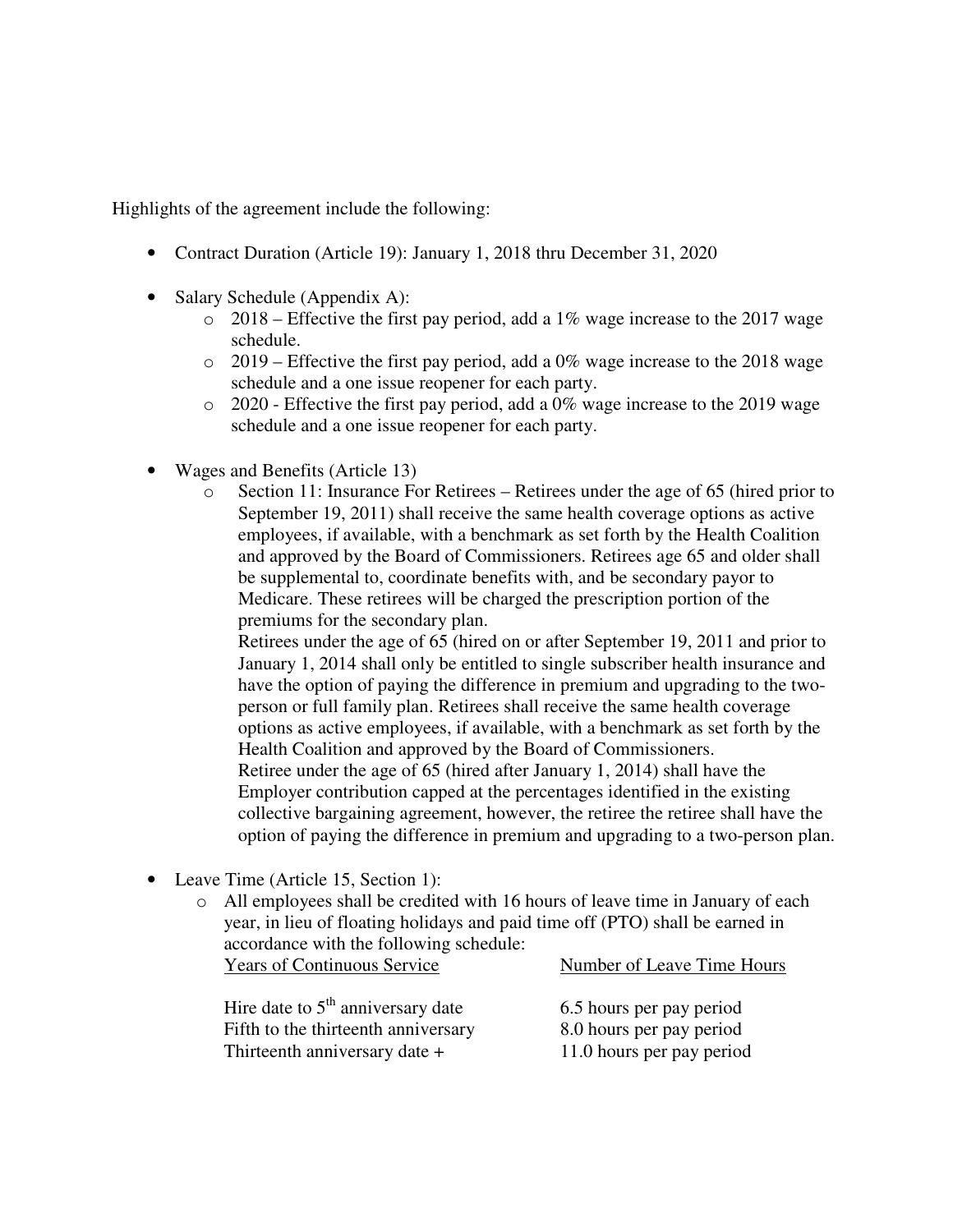- Contract Duration (Article 19): January 1, 2018 thru December 31, 2020
- Salary Schedule (Appendix A):
	- $\degree$  2018 Effective the first pay period, add a 1% wage increase to the 2017 wage schedule.
	- $\circ$  2019 Effective the first pay period, add a 0% wage increase to the 2018 wage schedule and a one issue reopener for each party.
	- o 2020 Effective the first pay period, add a 0% wage increase to the 2019 wage schedule and a one issue reopener for each party.
- Wages and Benefits (Article 13)
	- $\circ$  Section 11: Insurance For Retirees Retirees under the age of 65 (hired prior to September 19, 2011) shall receive the same health coverage options as active employees, if available, with a benchmark as set forth by the Health Coalition and approved by the Board of Commissioners. Retirees age 65 and older shall be supplemental to, coordinate benefits with, and be secondary payor to Medicare. These retirees will be charged the prescription portion of the premiums for the secondary plan.

Retirees under the age of 65 (hired on or after September 19, 2011 and prior to January 1, 2014 shall only be entitled to single subscriber health insurance and have the option of paying the difference in premium and upgrading to the twoperson or full family plan. Retirees shall receive the same health coverage options as active employees, if available, with a benchmark as set forth by the Health Coalition and approved by the Board of Commissioners.

Retiree under the age of 65 (hired after January 1, 2014) shall have the Employer contribution capped at the percentages identified in the existing collective bargaining agreement, however, the retiree the retiree shall have the option of paying the difference in premium and upgrading to a two-person plan.

- Leave Time (Article 15, Section 1):
	- o All employees shall be credited with 16 hours of leave time in January of each year, in lieu of floating holidays and paid time off (PTO) shall be earned in accordance with the following schedule:

| Hire date to $5th$ anniversary date | $6.5$ ho          |
|-------------------------------------|-------------------|
| Fifth to the thirteenth anniversary | 8.0 <sub>h</sub>  |
| Thirteenth anniversary date +       | 11.0 <sub>h</sub> |

Years of Continuous Service Number of Leave Time Hours

urs per pay period urs per pay period ours per pay period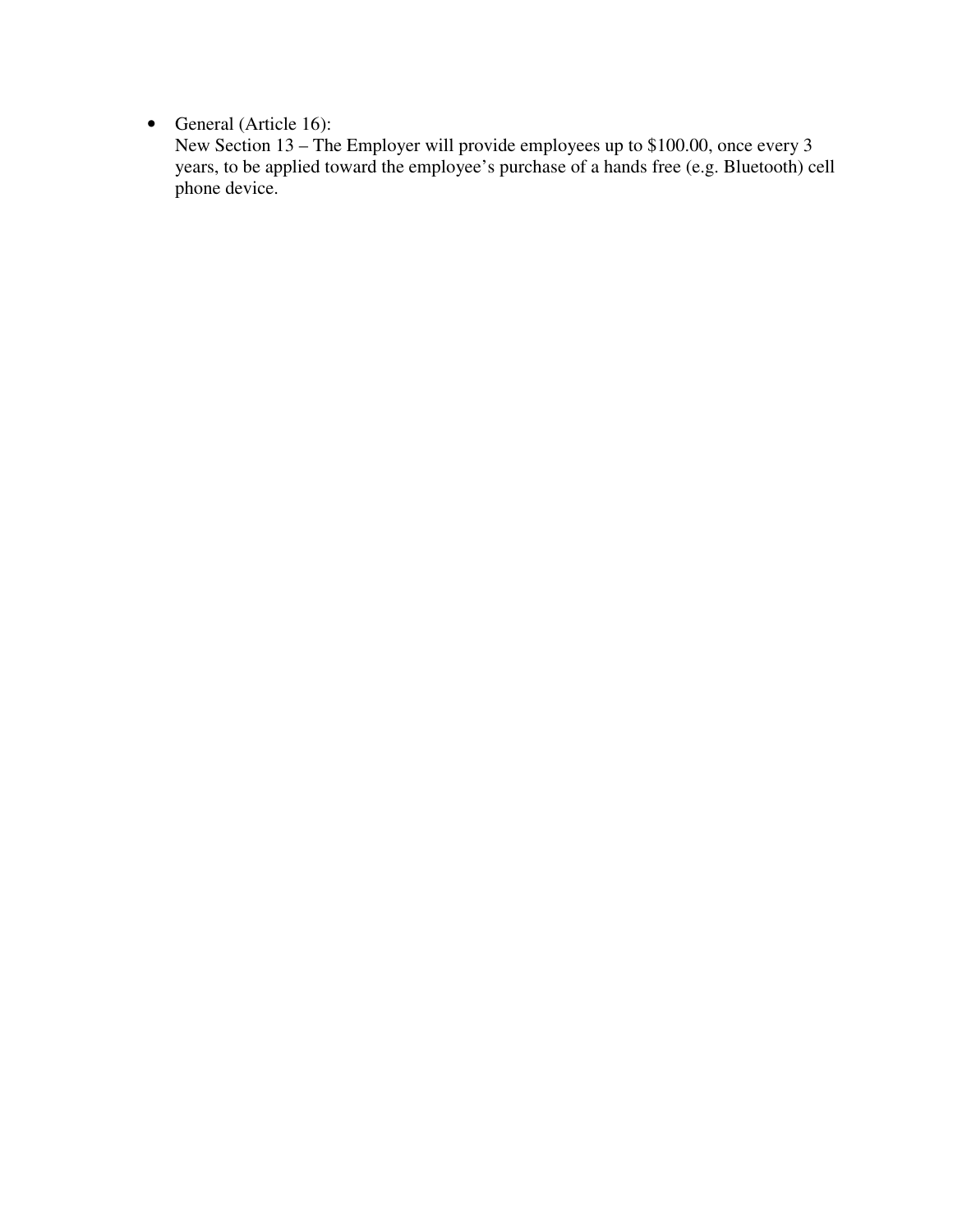• General (Article 16):

New Section 13 – The Employer will provide employees up to \$100.00, once every 3 years, to be applied toward the employee's purchase of a hands free (e.g. Bluetooth) cell phone device.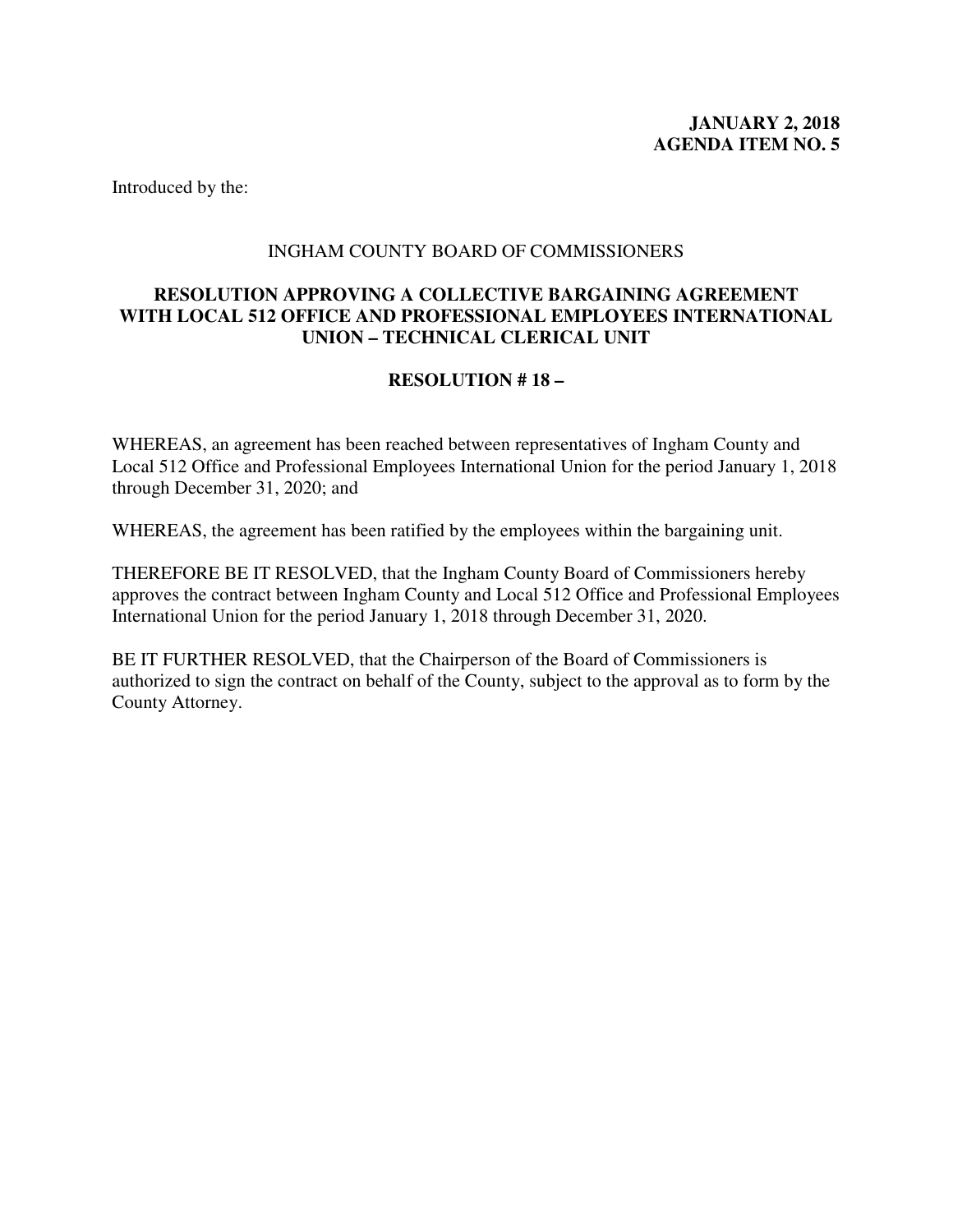#### INGHAM COUNTY BOARD OF COMMISSIONERS

## <span id="page-6-0"></span>**RESOLUTION APPROVING A COLLECTIVE BARGAINING AGREEMENT WITH LOCAL 512 OFFICE AND PROFESSIONAL EMPLOYEES INTERNATIONAL UNION – TECHNICAL CLERICAL UNIT**

## **RESOLUTION # 18 –**

WHEREAS, an agreement has been reached between representatives of Ingham County and Local 512 Office and Professional Employees International Union for the period January 1, 2018 through December 31, 2020; and

WHEREAS, the agreement has been ratified by the employees within the bargaining unit.

THEREFORE BE IT RESOLVED, that the Ingham County Board of Commissioners hereby approves the contract between Ingham County and Local 512 Office and Professional Employees International Union for the period January 1, 2018 through December 31, 2020.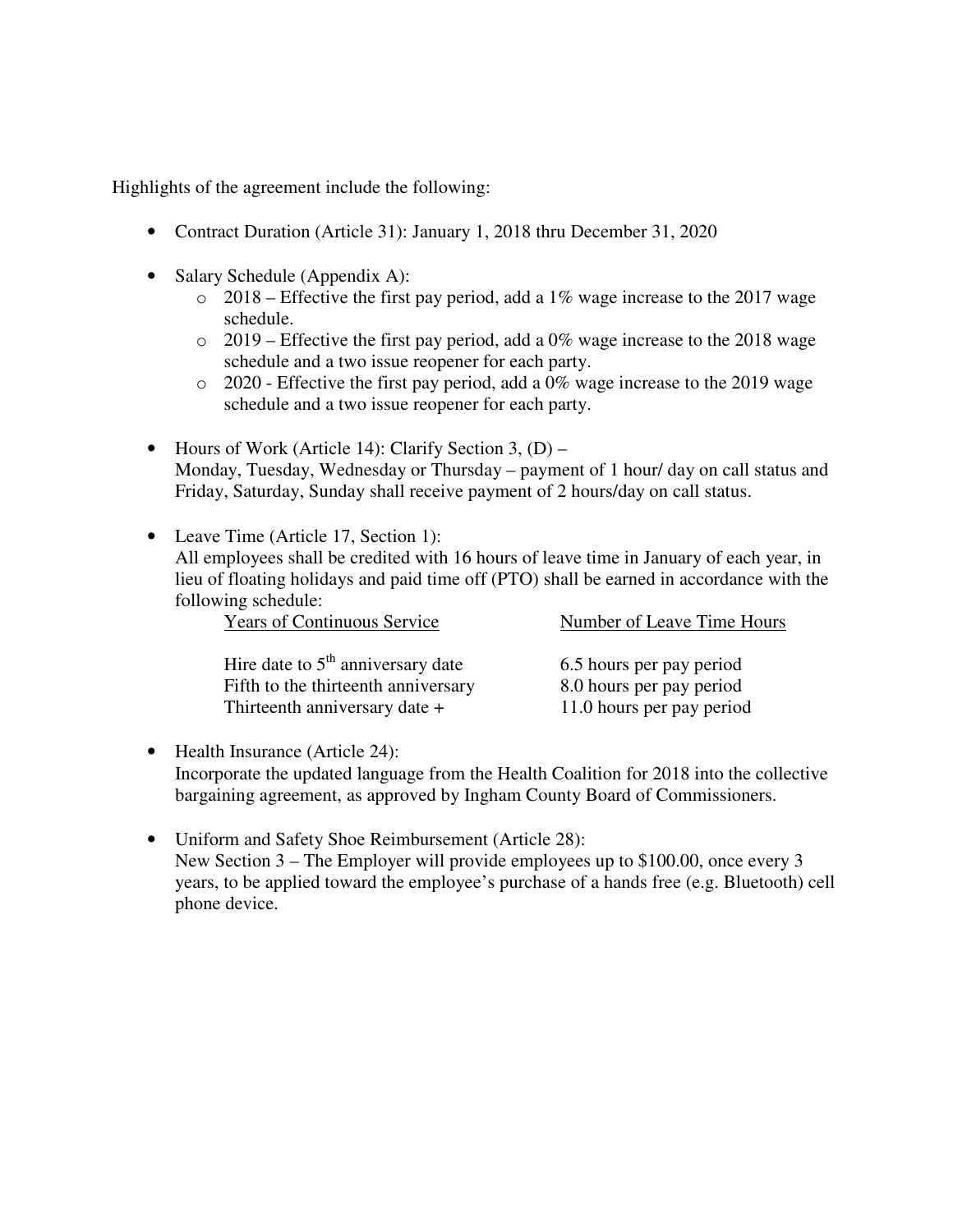- Contract Duration (Article 31): January 1, 2018 thru December 31, 2020
- Salary Schedule (Appendix A):
	- $\degree$  2018 Effective the first pay period, add a 1% wage increase to the 2017 wage schedule.
	- $\circ$  2019 Effective the first pay period, add a 0% wage increase to the 2018 wage schedule and a two issue reopener for each party.
	- o 2020 Effective the first pay period, add a 0% wage increase to the 2019 wage schedule and a two issue reopener for each party.
- Hours of Work (Article 14): Clarify Section 3,  $(D)$  Monday, Tuesday, Wednesday or Thursday – payment of 1 hour/ day on call status and Friday, Saturday, Sunday shall receive payment of 2 hours/day on call status.
- Leave Time (Article 17, Section 1): All employees shall be credited with 16 hours of leave time in January of each year, in lieu of floating holidays and paid time off (PTO) shall be earned in accordance with the following schedule:

| <b>Years of Continuous Service</b>  | Number of Leave Time Hours |
|-------------------------------------|----------------------------|
|                                     |                            |
| Hire date to $5th$ anniversary date | 6.5 hours per pay period   |
| Fifth to the thirteenth anniversary | 8.0 hours per pay period   |
| Thirteenth anniversary date +       | 11.0 hours per pay period  |

- Health Insurance (Article 24): Incorporate the updated language from the Health Coalition for 2018 into the collective bargaining agreement, as approved by Ingham County Board of Commissioners.
- Uniform and Safety Shoe Reimbursement (Article 28): New Section 3 – The Employer will provide employees up to \$100.00, once every 3 years, to be applied toward the employee's purchase of a hands free (e.g. Bluetooth) cell phone device.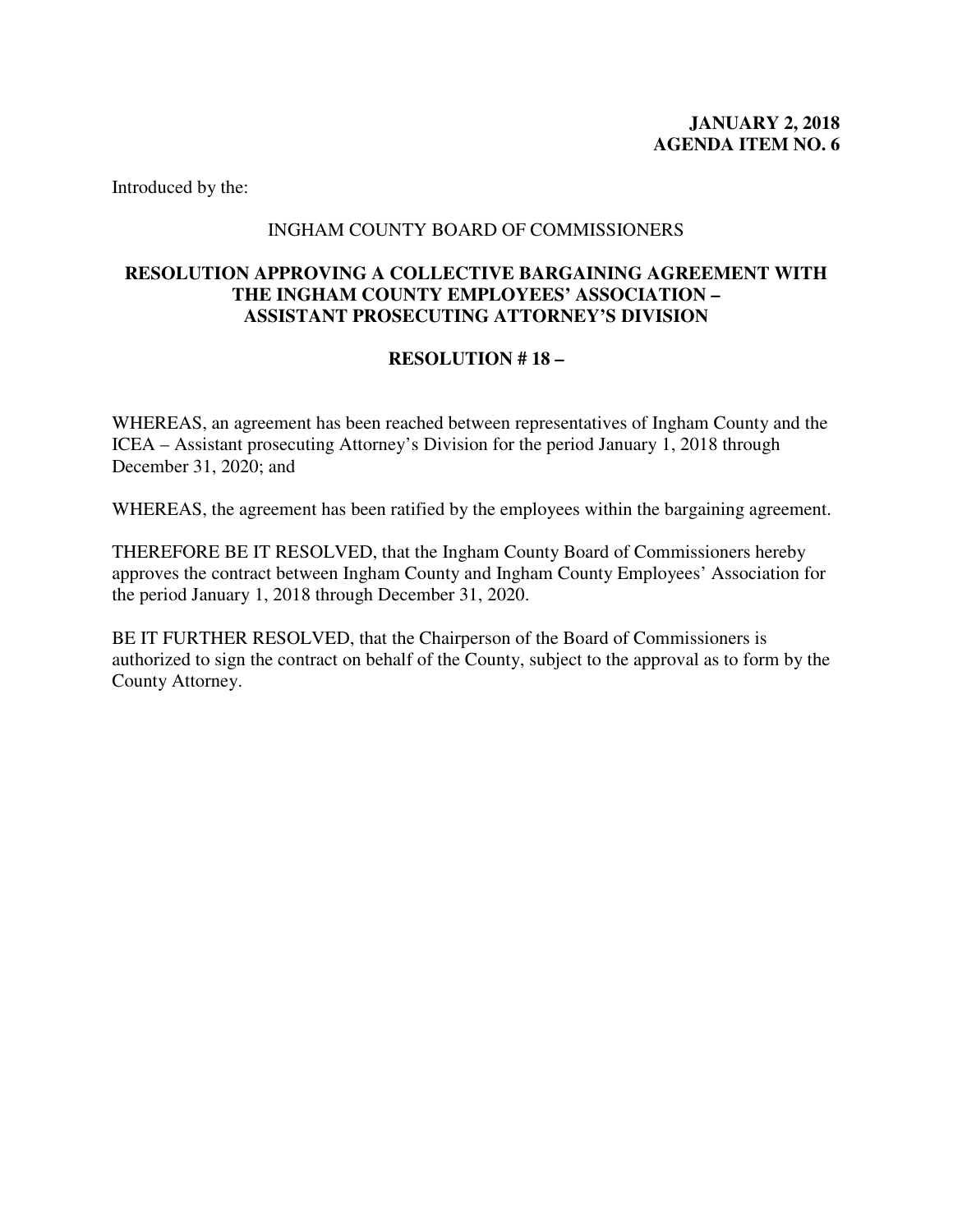## INGHAM COUNTY BOARD OF COMMISSIONERS

## <span id="page-8-0"></span>**RESOLUTION APPROVING A COLLECTIVE BARGAINING AGREEMENT WITH THE INGHAM COUNTY EMPLOYEES' ASSOCIATION – ASSISTANT PROSECUTING ATTORNEY'S DIVISION**

## **RESOLUTION # 18 –**

WHEREAS, an agreement has been reached between representatives of Ingham County and the ICEA – Assistant prosecuting Attorney's Division for the period January 1, 2018 through December 31, 2020; and

WHEREAS, the agreement has been ratified by the employees within the bargaining agreement.

THEREFORE BE IT RESOLVED, that the Ingham County Board of Commissioners hereby approves the contract between Ingham County and Ingham County Employees' Association for the period January 1, 2018 through December 31, 2020.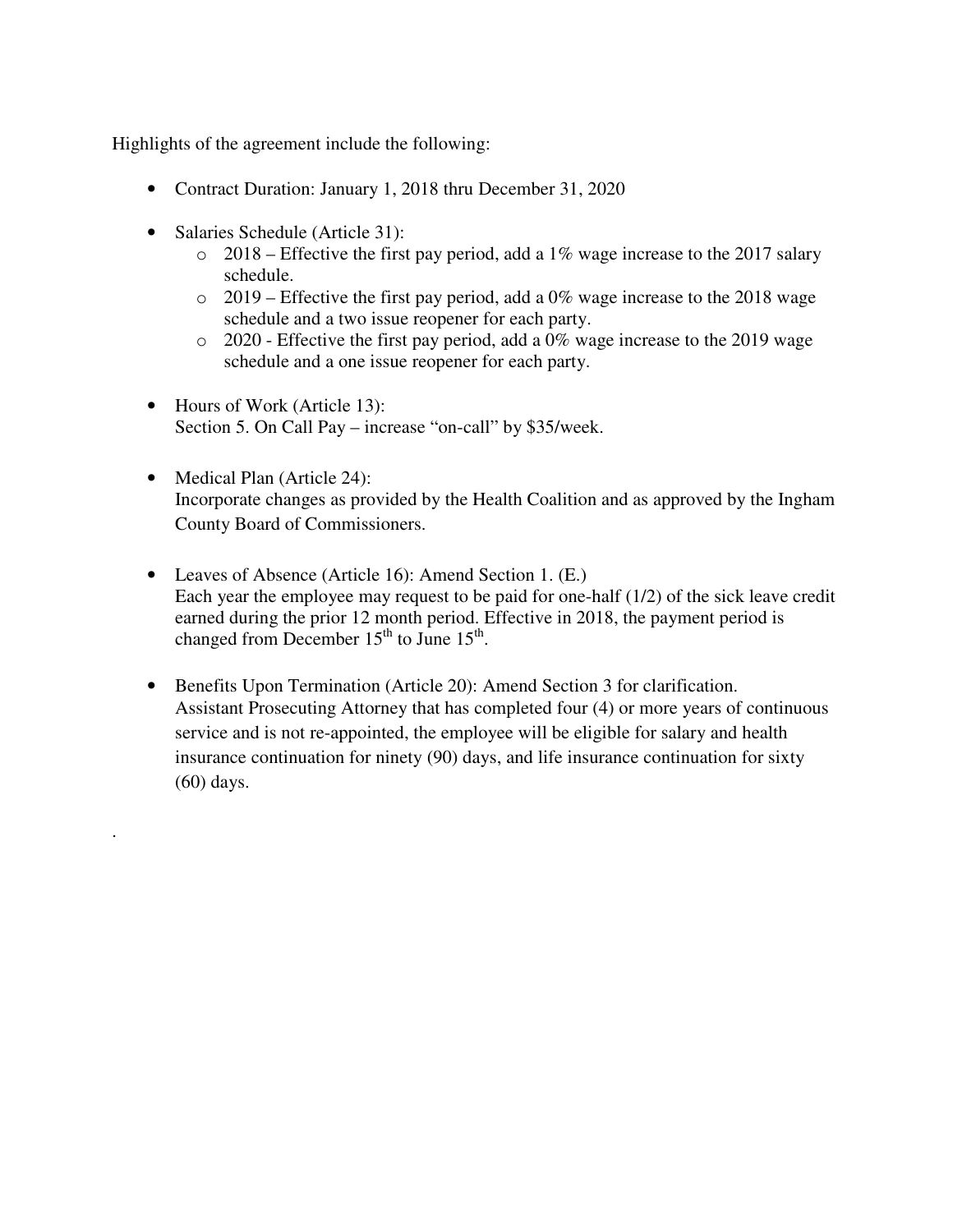- Contract Duration: January 1, 2018 thru December 31, 2020
- Salaries Schedule (Article 31):

.

- $\circ$  2018 Effective the first pay period, add a 1% wage increase to the 2017 salary schedule.
- $\circ$  2019 Effective the first pay period, add a 0% wage increase to the 2018 wage schedule and a two issue reopener for each party.
- o 2020 Effective the first pay period, add a 0% wage increase to the 2019 wage schedule and a one issue reopener for each party.
- Hours of Work (Article 13): Section 5. On Call Pay – increase "on-call" by \$35/week.
- Medical Plan (Article 24): Incorporate changes as provided by the Health Coalition and as approved by the Ingham County Board of Commissioners.
- Leaves of Absence (Article 16): Amend Section 1. (E.) Each year the employee may request to be paid for one-half (1/2) of the sick leave credit earned during the prior 12 month period. Effective in 2018, the payment period is changed from December  $15<sup>th</sup>$  to June  $15<sup>th</sup>$ .
- Benefits Upon Termination (Article 20): Amend Section 3 for clarification. Assistant Prosecuting Attorney that has completed four (4) or more years of continuous service and is not re-appointed, the employee will be eligible for salary and health insurance continuation for ninety (90) days, and life insurance continuation for sixty (60) days.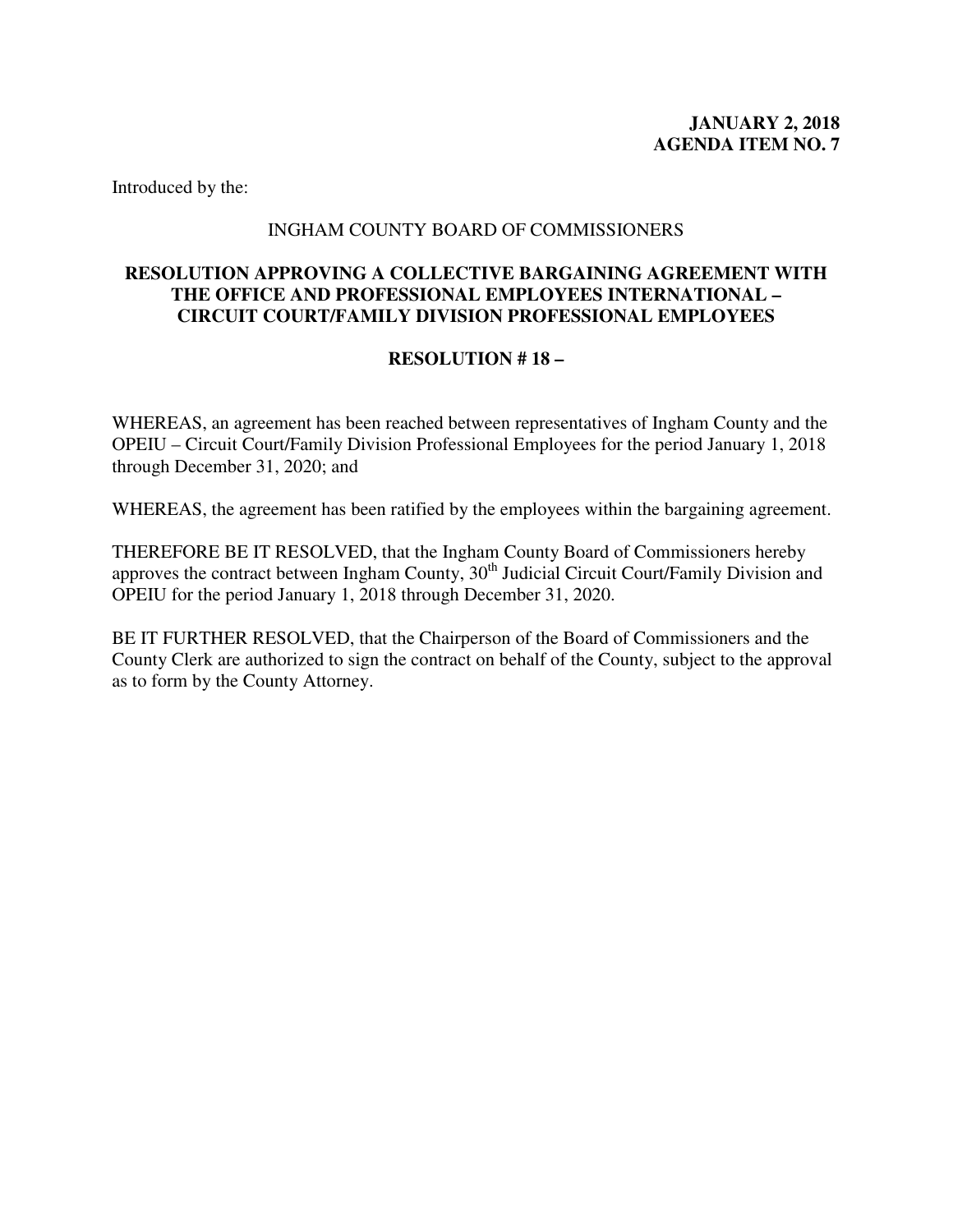#### INGHAM COUNTY BOARD OF COMMISSIONERS

## <span id="page-10-0"></span>**RESOLUTION APPROVING A COLLECTIVE BARGAINING AGREEMENT WITH THE OFFICE AND PROFESSIONAL EMPLOYEES INTERNATIONAL – CIRCUIT COURT/FAMILY DIVISION PROFESSIONAL EMPLOYEES**

## **RESOLUTION # 18 –**

WHEREAS, an agreement has been reached between representatives of Ingham County and the OPEIU – Circuit Court/Family Division Professional Employees for the period January 1, 2018 through December 31, 2020; and

WHEREAS, the agreement has been ratified by the employees within the bargaining agreement.

THEREFORE BE IT RESOLVED, that the Ingham County Board of Commissioners hereby approves the contract between Ingham County, 30<sup>th</sup> Judicial Circuit Court/Family Division and OPEIU for the period January 1, 2018 through December 31, 2020.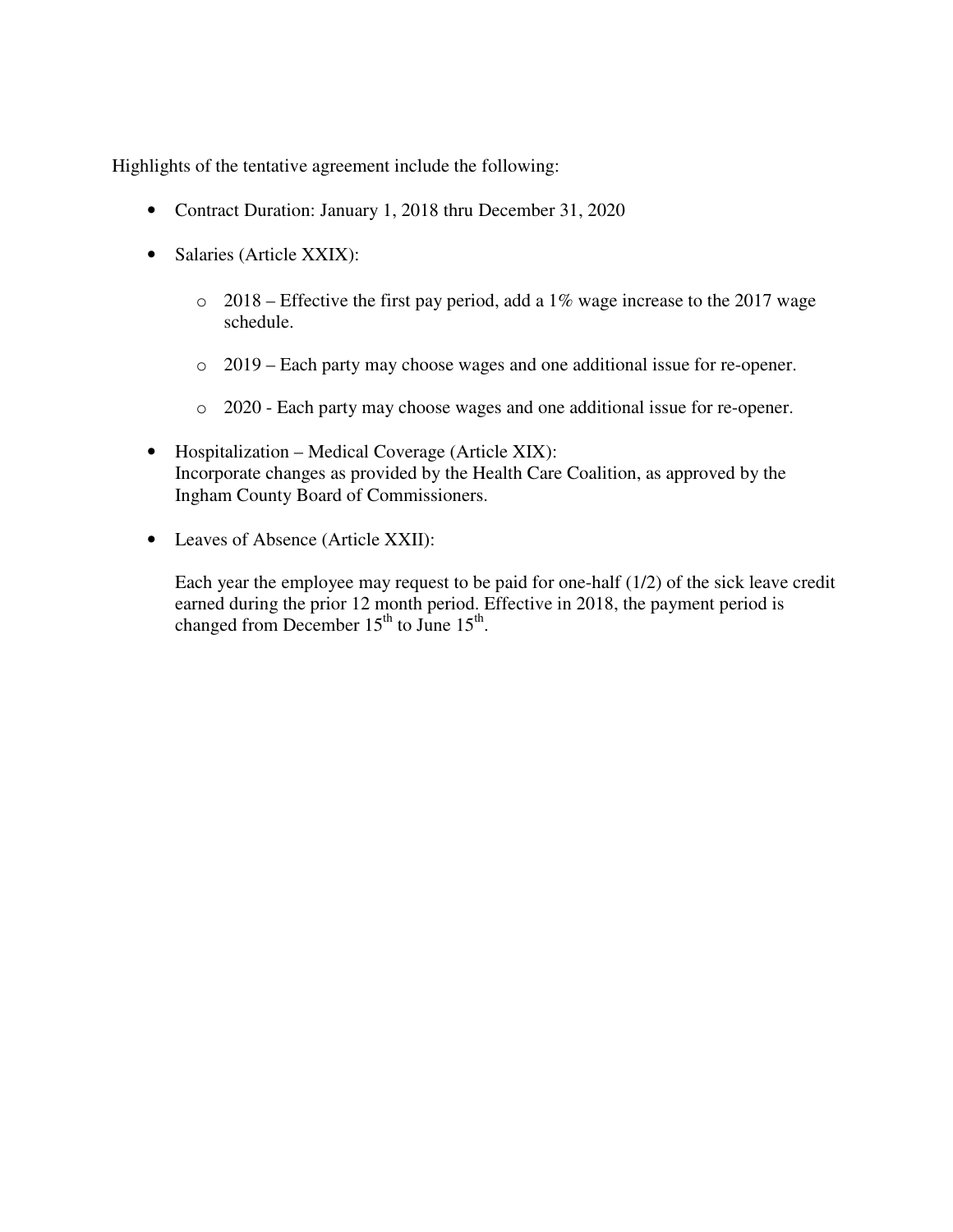- Contract Duration: January 1, 2018 thru December 31, 2020
- Salaries (Article XXIX):
	- $\circ$  2018 Effective the first pay period, add a 1% wage increase to the 2017 wage schedule.
	- o 2019 Each party may choose wages and one additional issue for re-opener.
	- o 2020 Each party may choose wages and one additional issue for re-opener.
- Hospitalization Medical Coverage (Article XIX): Incorporate changes as provided by the Health Care Coalition, as approved by the Ingham County Board of Commissioners.
- Leaves of Absence (Article XXII):

Each year the employee may request to be paid for one-half (1/2) of the sick leave credit earned during the prior 12 month period. Effective in 2018, the payment period is changed from December  $15^{th}$  to June  $15^{th}$ .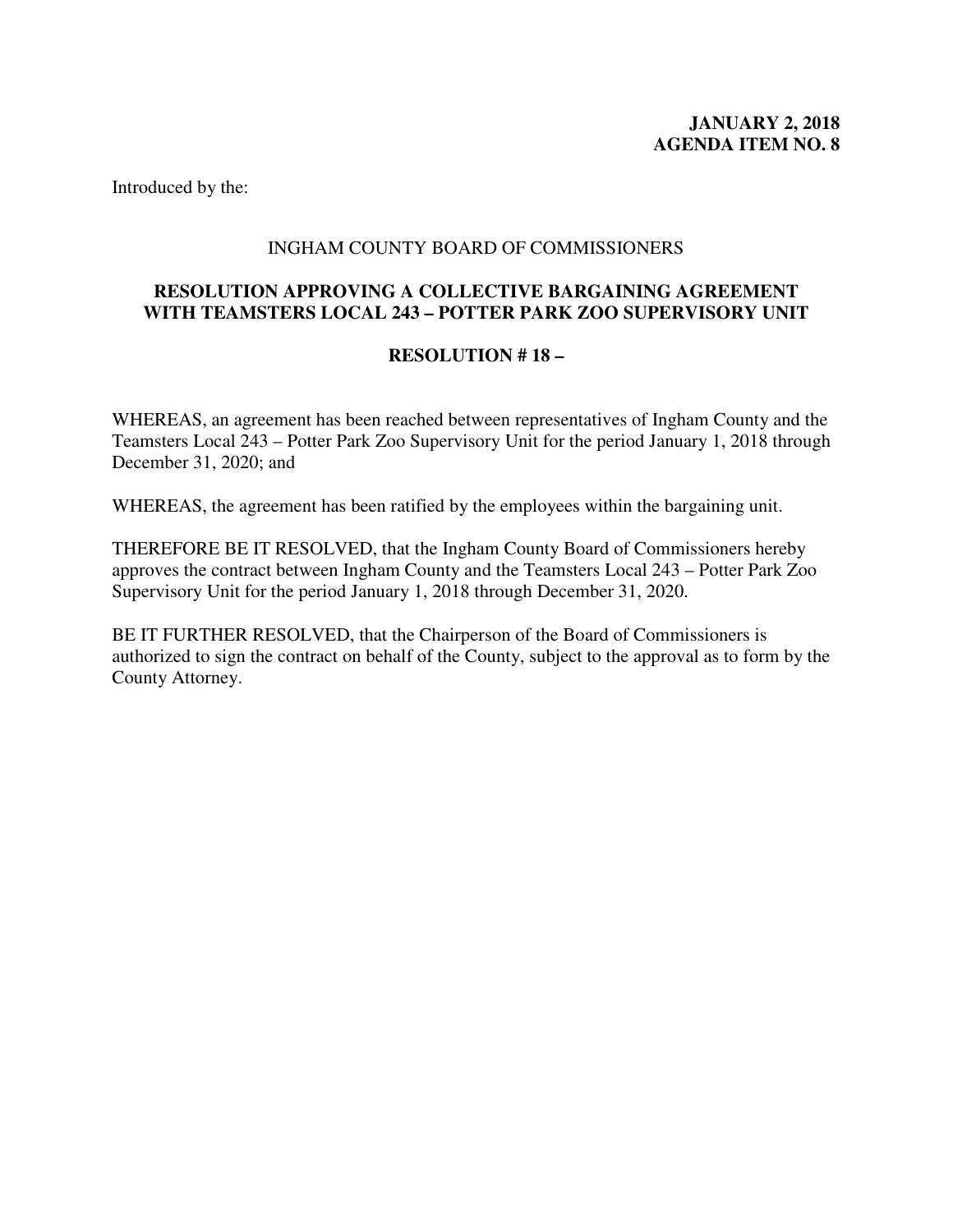## INGHAM COUNTY BOARD OF COMMISSIONERS

## <span id="page-12-0"></span>**RESOLUTION APPROVING A COLLECTIVE BARGAINING AGREEMENT WITH TEAMSTERS LOCAL 243 – POTTER PARK ZOO SUPERVISORY UNIT**

## **RESOLUTION # 18 –**

WHEREAS, an agreement has been reached between representatives of Ingham County and the Teamsters Local 243 – Potter Park Zoo Supervisory Unit for the period January 1, 2018 through December 31, 2020; and

WHEREAS, the agreement has been ratified by the employees within the bargaining unit.

THEREFORE BE IT RESOLVED, that the Ingham County Board of Commissioners hereby approves the contract between Ingham County and the Teamsters Local 243 – Potter Park Zoo Supervisory Unit for the period January 1, 2018 through December 31, 2020.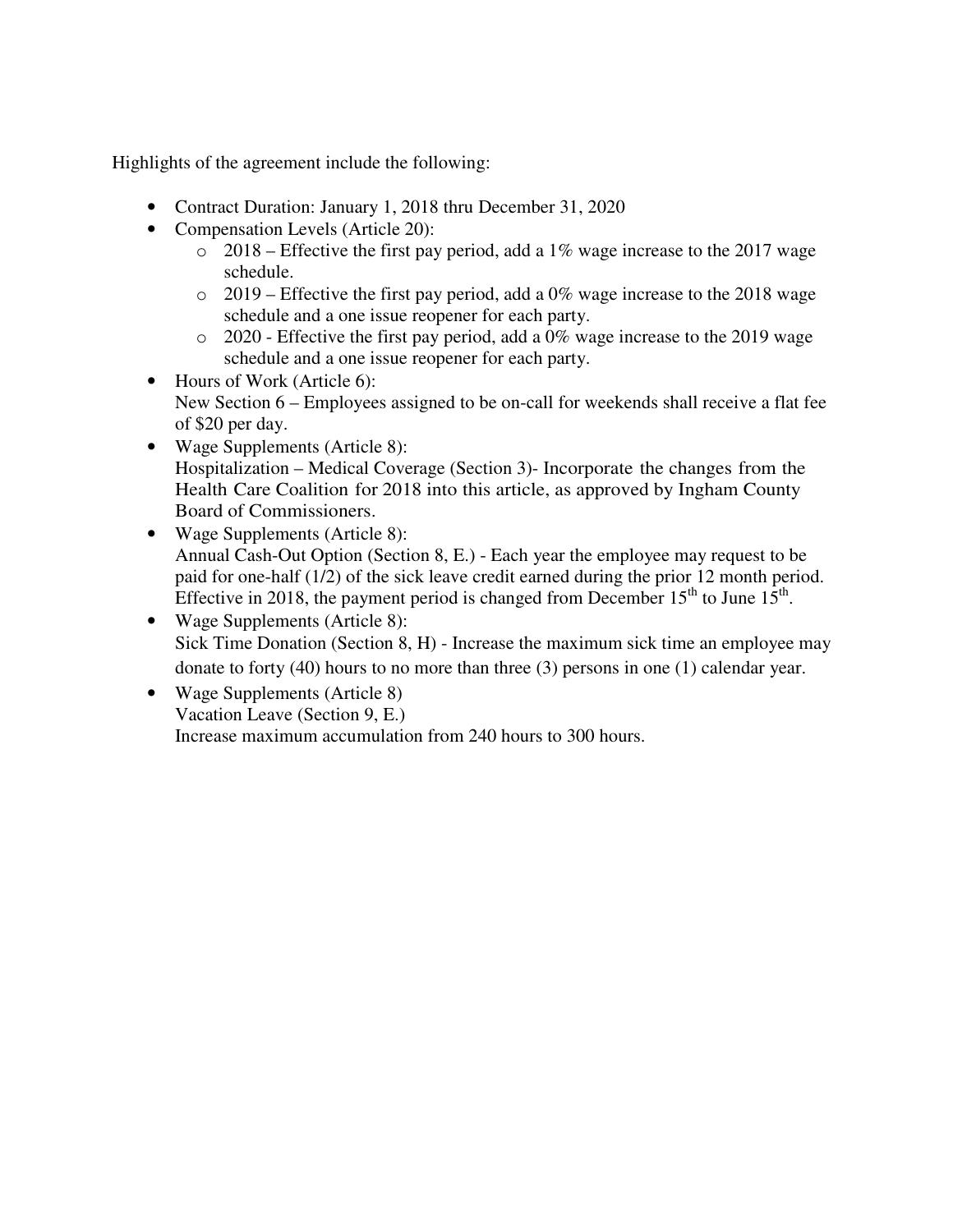- Contract Duration: January 1, 2018 thru December 31, 2020
- Compensation Levels (Article 20):
	- $\degree$  2018 Effective the first pay period, add a 1% wage increase to the 2017 wage schedule.
	- $\degree$  2019 Effective the first pay period, add a 0% wage increase to the 2018 wage schedule and a one issue reopener for each party.
	- o 2020 Effective the first pay period, add a 0% wage increase to the 2019 wage schedule and a one issue reopener for each party.
- Hours of Work (Article 6): New Section 6 – Employees assigned to be on-call for weekends shall receive a flat fee of \$20 per day.
- Wage Supplements (Article 8): Hospitalization – Medical Coverage (Section 3)- Incorporate the changes from the Health Care Coalition for 2018 into this article, as approved by Ingham County Board of Commissioners.
- Wage Supplements (Article 8): Annual Cash-Out Option (Section 8, E.) - Each year the employee may request to be paid for one-half (1/2) of the sick leave credit earned during the prior 12 month period. Effective in 2018, the payment period is changed from December 15<sup>th</sup> to June  $15<sup>th</sup>$ .
- Wage Supplements (Article 8): Sick Time Donation (Section 8, H) - Increase the maximum sick time an employee may donate to forty (40) hours to no more than three (3) persons in one (1) calendar year.
- Wage Supplements (Article 8) Vacation Leave (Section 9, E.) Increase maximum accumulation from 240 hours to 300 hours.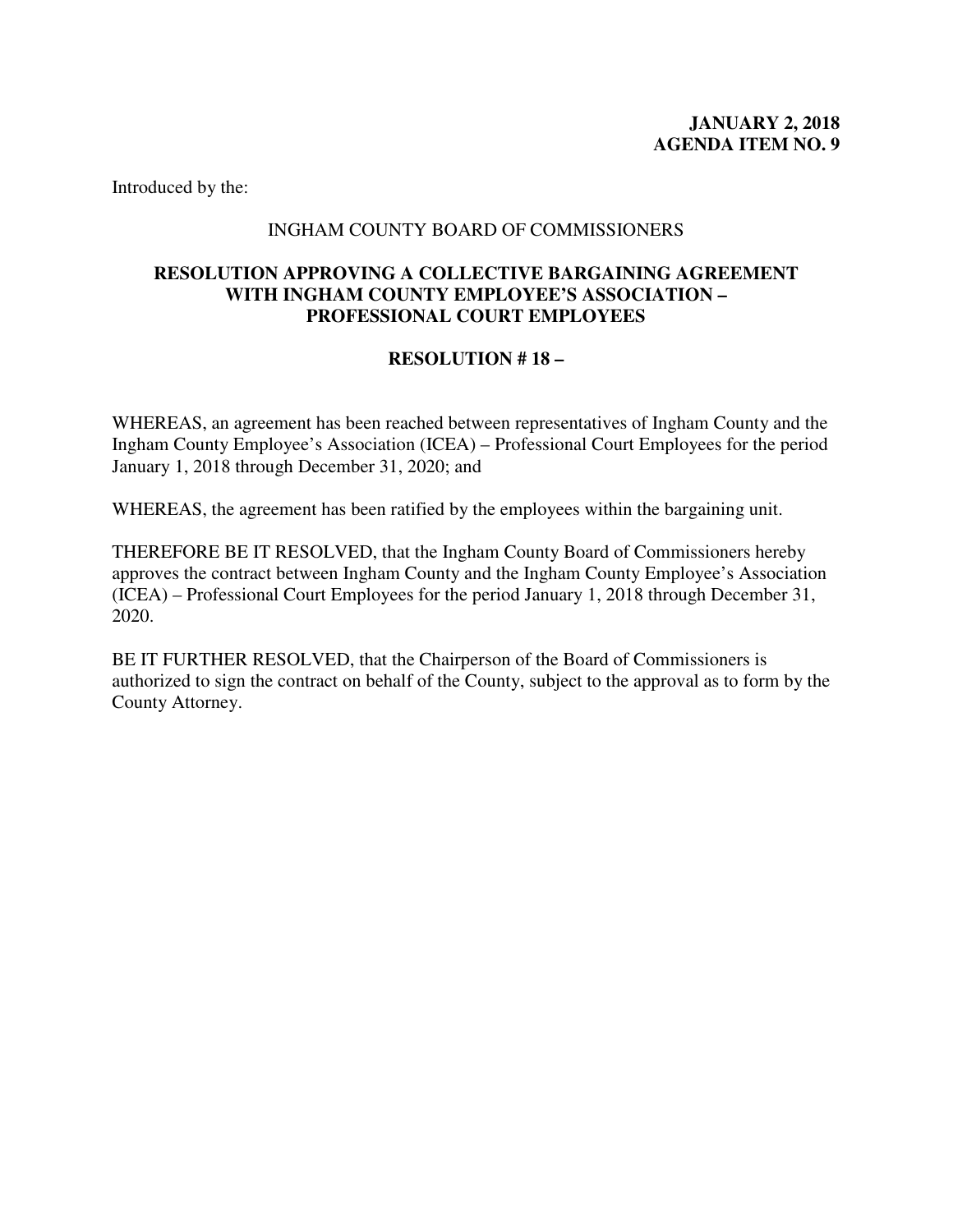#### INGHAM COUNTY BOARD OF COMMISSIONERS

## <span id="page-14-0"></span>**RESOLUTION APPROVING A COLLECTIVE BARGAINING AGREEMENT WITH INGHAM COUNTY EMPLOYEE'S ASSOCIATION – PROFESSIONAL COURT EMPLOYEES**

## **RESOLUTION # 18 –**

WHEREAS, an agreement has been reached between representatives of Ingham County and the Ingham County Employee's Association (ICEA) – Professional Court Employees for the period January 1, 2018 through December 31, 2020; and

WHEREAS, the agreement has been ratified by the employees within the bargaining unit.

THEREFORE BE IT RESOLVED, that the Ingham County Board of Commissioners hereby approves the contract between Ingham County and the Ingham County Employee's Association (ICEA) – Professional Court Employees for the period January 1, 2018 through December 31, 2020.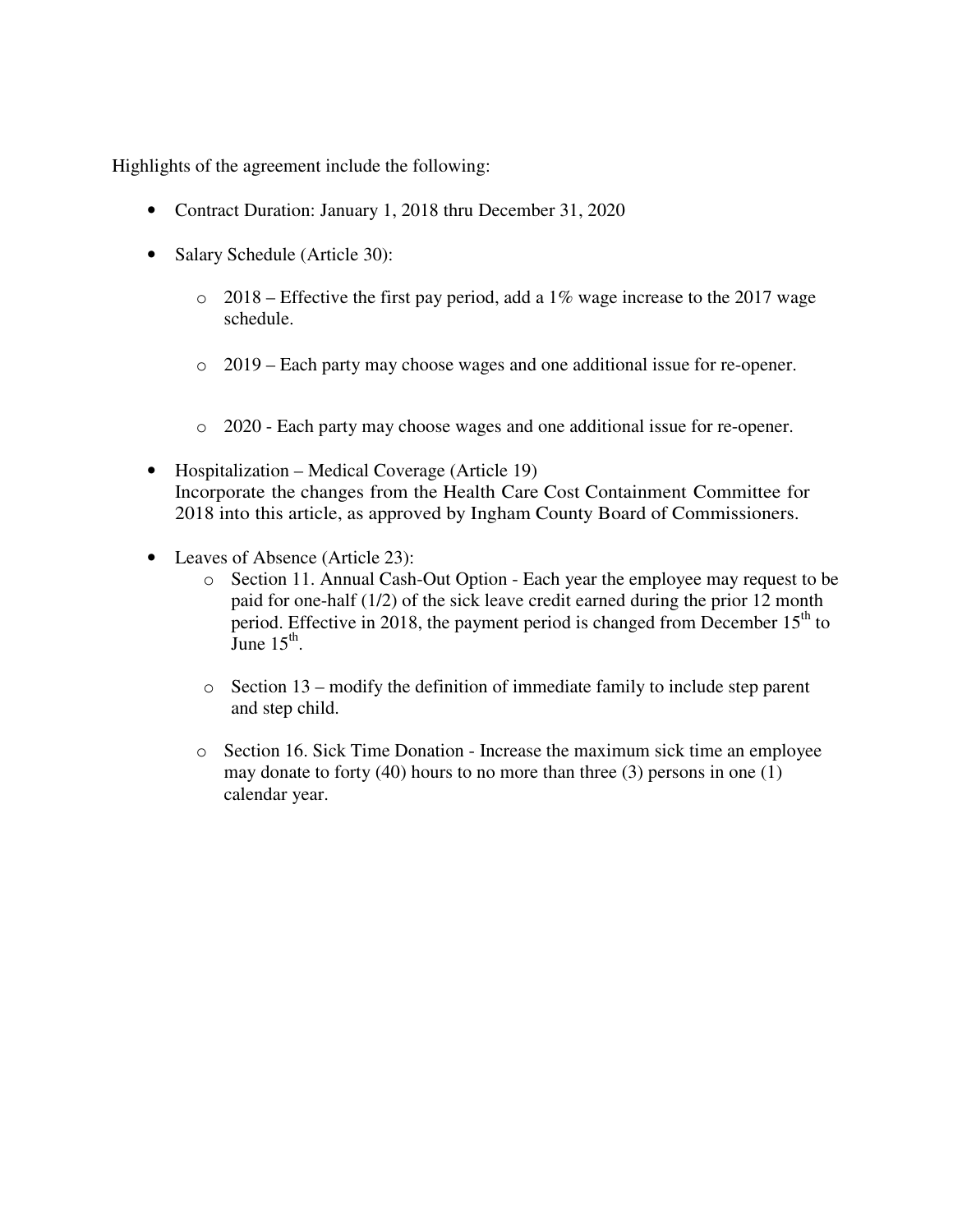- Contract Duration: January 1, 2018 thru December 31, 2020
- Salary Schedule (Article 30):
	- $\degree$  2018 Effective the first pay period, add a 1% wage increase to the 2017 wage schedule.
	- o 2019 Each party may choose wages and one additional issue for re-opener.
	- o 2020 Each party may choose wages and one additional issue for re-opener.
- Hospitalization Medical Coverage (Article 19) Incorporate the changes from the Health Care Cost Containment Committee for 2018 into this article, as approved by Ingham County Board of Commissioners.
- Leaves of Absence (Article 23):
	- o Section 11. Annual Cash-Out Option Each year the employee may request to be paid for one-half (1/2) of the sick leave credit earned during the prior 12 month period. Effective in 2018, the payment period is changed from December  $15<sup>th</sup>$  to  $\overline{\text{June}}$  15<sup>th</sup>.
	- o Section 13 modify the definition of immediate family to include step parent and step child.
	- o Section 16. Sick Time Donation Increase the maximum sick time an employee may donate to forty (40) hours to no more than three (3) persons in one (1) calendar year.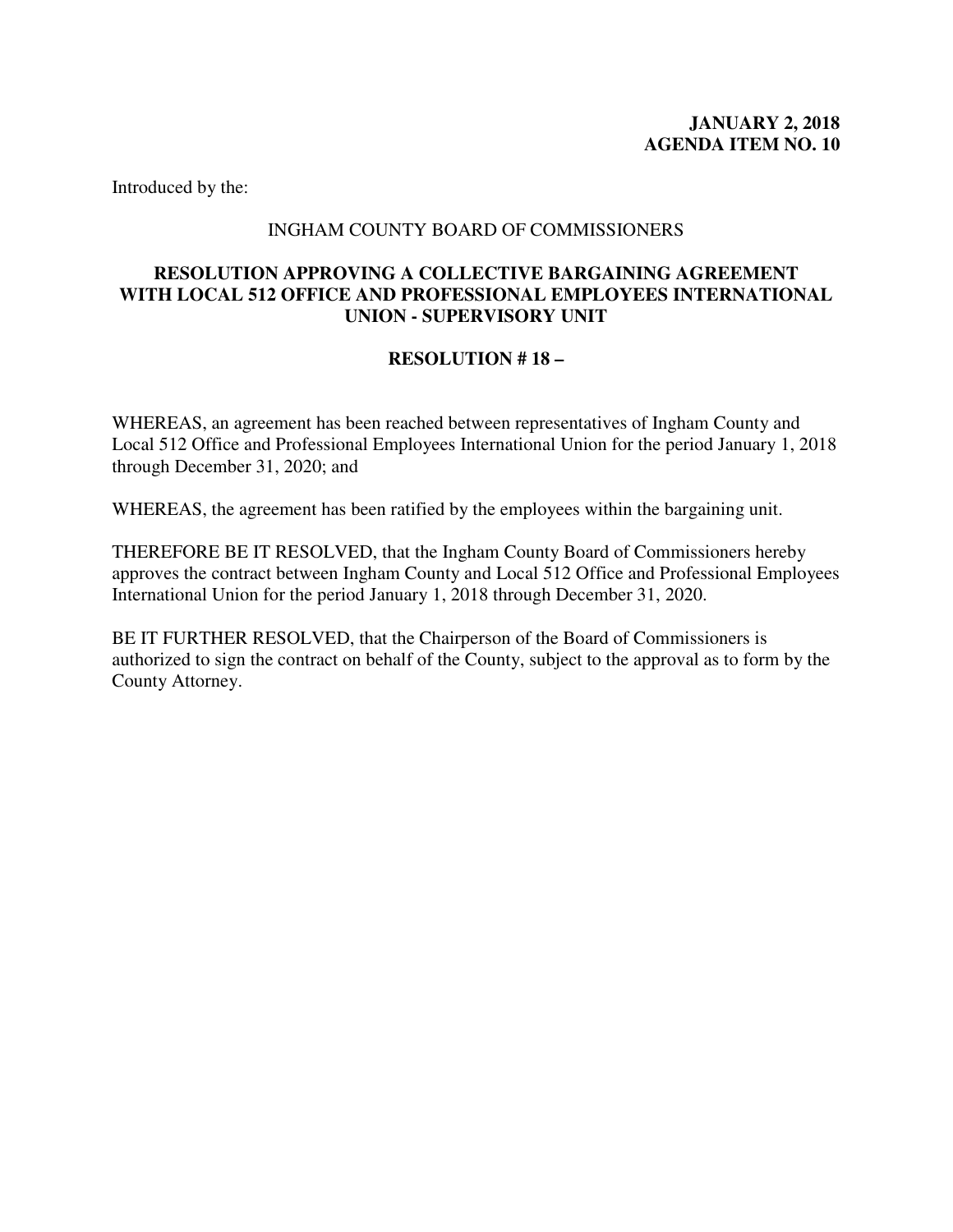#### INGHAM COUNTY BOARD OF COMMISSIONERS

## <span id="page-16-0"></span>**RESOLUTION APPROVING A COLLECTIVE BARGAINING AGREEMENT WITH LOCAL 512 OFFICE AND PROFESSIONAL EMPLOYEES INTERNATIONAL UNION - SUPERVISORY UNIT**

## **RESOLUTION # 18 –**

WHEREAS, an agreement has been reached between representatives of Ingham County and Local 512 Office and Professional Employees International Union for the period January 1, 2018 through December 31, 2020; and

WHEREAS, the agreement has been ratified by the employees within the bargaining unit.

THEREFORE BE IT RESOLVED, that the Ingham County Board of Commissioners hereby approves the contract between Ingham County and Local 512 Office and Professional Employees International Union for the period January 1, 2018 through December 31, 2020.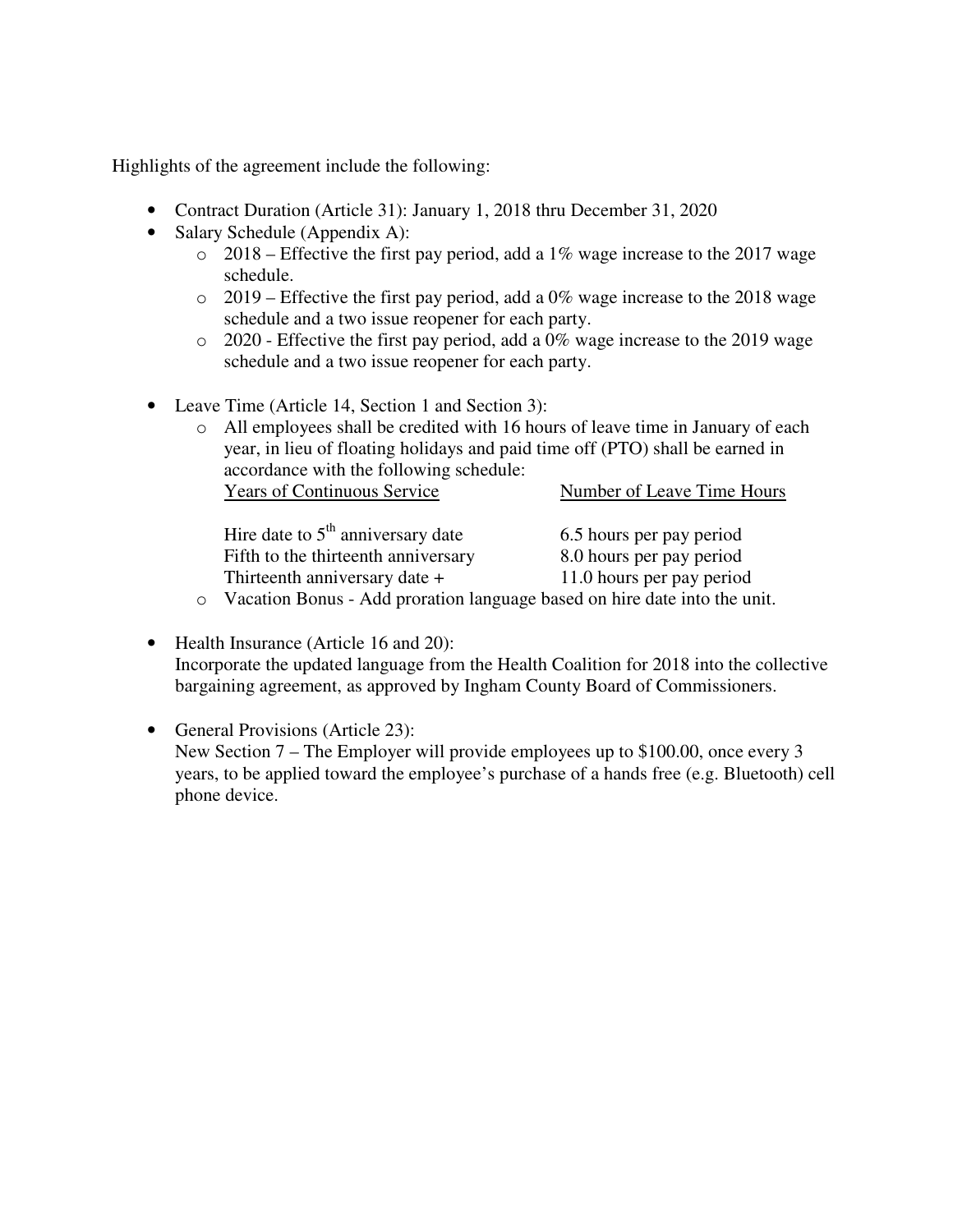- Contract Duration (Article 31): January 1, 2018 thru December 31, 2020
- Salary Schedule (Appendix A):
	- $\degree$  2018 Effective the first pay period, add a 1% wage increase to the 2017 wage schedule.
	- $\circ$  2019 Effective the first pay period, add a 0% wage increase to the 2018 wage schedule and a two issue reopener for each party.
	- o 2020 Effective the first pay period, add a 0% wage increase to the 2019 wage schedule and a two issue reopener for each party.
- Leave Time (Article 14, Section 1 and Section 3):

| $\circ$ All employees shall be credited with 16 hours of leave time in January of each<br>year, in lieu of floating holidays and paid time off (PTO) shall be earned in |                            |  |
|-------------------------------------------------------------------------------------------------------------------------------------------------------------------------|----------------------------|--|
| accordance with the following schedule:<br><b>Years of Continuous Service</b>                                                                                           | Number of Leave Time Hours |  |
| Hire date to $5th$ anniversary date                                                                                                                                     | 6.5 hours per pay period   |  |

| Hire date to 5 <sup>"</sup> anniversary date | 6.5 hours per pay period  |
|----------------------------------------------|---------------------------|
| Fifth to the thirteenth anniversary          | 8.0 hours per pay period  |
| Thirteenth anniversary date +                | 11.0 hours per pay period |

- o Vacation Bonus Add proration language based on hire date into the unit.
- Health Insurance (Article 16 and 20): Incorporate the updated language from the Health Coalition for 2018 into the collective bargaining agreement, as approved by Ingham County Board of Commissioners.
- General Provisions (Article 23): New Section 7 – The Employer will provide employees up to \$100.00, once every 3 years, to be applied toward the employee's purchase of a hands free (e.g. Bluetooth) cell phone device.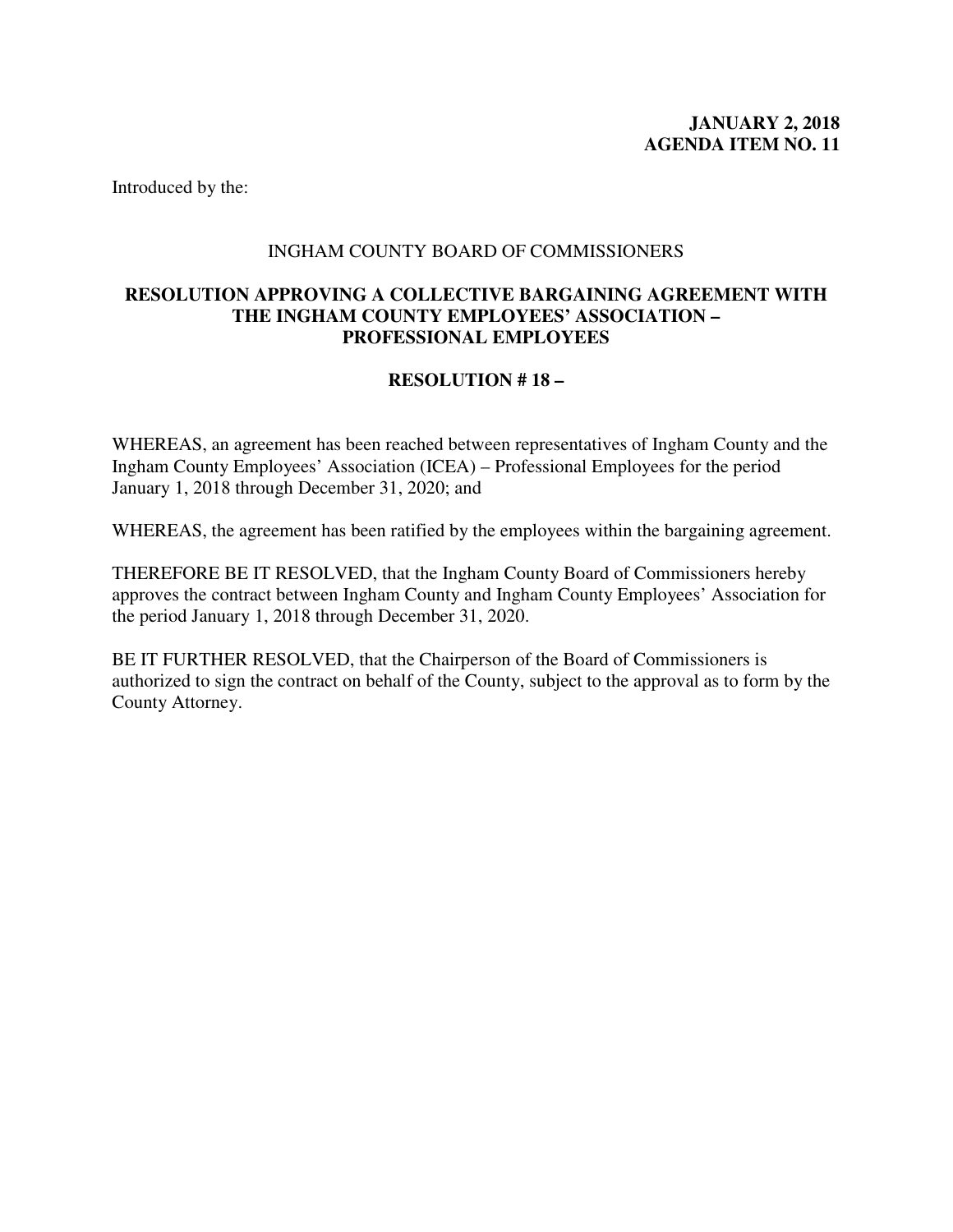#### INGHAM COUNTY BOARD OF COMMISSIONERS

#### <span id="page-18-0"></span>**RESOLUTION APPROVING A COLLECTIVE BARGAINING AGREEMENT WITH THE INGHAM COUNTY EMPLOYEES' ASSOCIATION – PROFESSIONAL EMPLOYEES**

## **RESOLUTION # 18 –**

WHEREAS, an agreement has been reached between representatives of Ingham County and the Ingham County Employees' Association (ICEA) – Professional Employees for the period January 1, 2018 through December 31, 2020; and

WHEREAS, the agreement has been ratified by the employees within the bargaining agreement.

THEREFORE BE IT RESOLVED, that the Ingham County Board of Commissioners hereby approves the contract between Ingham County and Ingham County Employees' Association for the period January 1, 2018 through December 31, 2020.